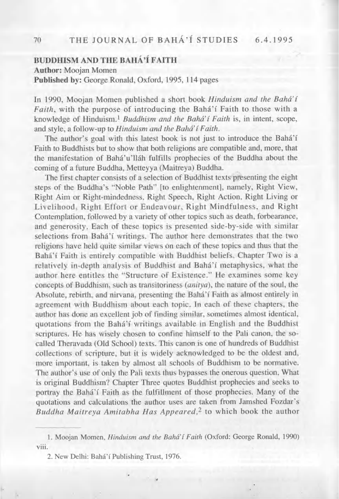# **BUDDHISM AND THE BAHÀ'Î FAITH**

**Author:** Moojan Momen **Published by:** George Ronald, Oxford, 1995, 114 pages

In 1990, Moojan Momen published a short book *Hinduism and the Bahďí* Faith, with the purpose of introducing the Bahá'í Faith to those with a knowledge of Hinduism.1 *Buddhism and the Bahďí Faith* is, in intent, scope, and style, a follow-up to *Hinduism and the Bahá' f Faith*.

The author's goal with this latest book is not just to introduce the Bahá'í Faith to Buddhists but to show that both religions are compatible and, more, that the manifestation of Bahá'u'lláh fulfills prophecies of the Buddha about the coming of a future Buddha, Metteyya (Maitreya) Buddha.

The first chapter consists of a selection of Buddhist texts presenting the eight steps of the Buddha's "Noble Path" [to enlightenment], namely, Right View, Right Aim or Right-mindedness, Right Speech, Right Action, Right Living or Livelihood, Right Effort or Endeavour, Right Mindfulness, and Right Contemplation, followed by a variety of other topics such as death, forbearance, and generosity. Each of these topics is presented side-by-side with similar selections from Bahá'í writings. The author here demonstrates that the two religions have held quite similar views on each of these topics and thus that the Bahá'í Faith is entirely compatible with Buddhist beliefs. Chapter Two is a relatively in-depth analysis of Buddhist and Bahá'í metaphysics, what the author here entitles the "Structure of Existence." He examines some key concepts of Buddhism, such as transitoriness *(anitya),* the nature of the soul, the Absolute, rebirth, and nirvana, presenting the Bahá'í Faith as almost entirely in agreement with Buddhism about each topic. In each of these chapters, the author has done an excellent job of finding similar, sometimes almost identical, quotations from the Bahá'í writings available in English and the Buddhist scriptures. He has wisely chosen to confine himself to the Pali canon, the socalled Theravada (Old School) texts. This canon is one of hundreds of Buddhist collections of scripture, but it is widely acknowledged to be the oldest and, more important, is taken by almost all schools of Buddhism to be normative. The author's use of only the Pali texts thus bypasses the onerous question. What is original Buddhism? Chapter Three quotes Buddhist prophecies and seeks to portray the Bahá'í Faith as the fulfillment of those prophecies. Many of the quotations and calculations the author uses are taken from Jamshed Fozdar's Buddha Maitreya Amitabha Has Appeared,<sup>2</sup> to which book the author

**<sup>1.</sup> Moojan Momen,** *Hinduism and the Bahďí Faith* **(Oxford: George Ronald, 1990) viii.**

<sup>2.</sup> New Delhi: Bahá'í Publishing Trust, 1976.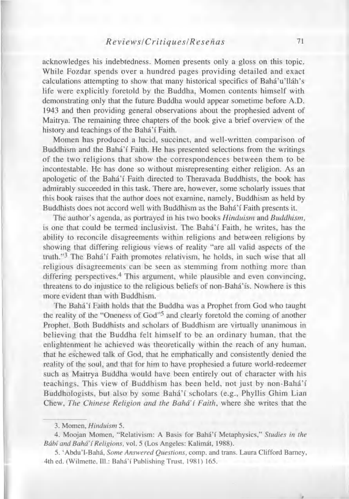#### *Reviews! Critiques! Res eňas* **71**

acknowledges his indebtedness. Momen presents only a gloss on this topic. While Fozdar spends over a hundred pages providing detailed and exact calculations attempting to show that many historical specifics of Bahá'u'lláh's life were explicitly foretold by the Buddha, Momen contents himself with demonstrating only that the future Buddha would appear sometime before A.D. 1943 and then providing general observations about the prophesied advent of Maitrya. The remaining three chapters of the book give a brief overview of the history and teachings of the Bahá'í Faith.

Momen has produced a lucid, succinct, and well-written comparison of Buddhism and the Bahá'í Faith. He has presented selections from the writings of the two religions that show the correspondences between them to be incontestable. He has done so without misrepresenting either religion. As an apologetic of the Bahá'í Faith directed to Theravada Buddhists, the book has admirably succeeded in this task. There are, however, some scholarly issues that this book raises that the author does not examine, namely, Buddhism as held by Buddhists does not accord well with Buddhism as the Bahá'í Faith presents it.

The author's agenda, as portrayed in his two books *Hinduism* and *Buddhism,* is one that could be termed inclusivist. The Bahá'í Faith, he writes, has the ability to reconcile disagreements within religions and between religions by showing that differing religious views of reality "are all valid aspects of the truth."<sup>3</sup> The Bahá'í Faith promotes relativism, he holds, in such wise that all religious disagreements can be seen as stemming from nothing more than differing perspectives.<sup>4</sup> This argument, while plausible and even convincing, threatens to do injustice to the religious beliefs of non-Bahá'ís. Nowhere is this more evident than with Buddhism.

The Bahá'í Faith holds that the Buddha was a Prophet from God who taught the reality of the "Oneness of God"5 and clearly foretold the coming of another Prophet. Both Buddhists and scholars of Buddhism are virtually unanimous in believing that the Buddha felt himself to be an ordinary human, that the enlightenment he achieved was theoretically within the reach of any human, that he eschewed talk of God, that he emphatically and consistently denied the reality of the soul, and that for him to have prophesied a future world-redeemer such as Maitrya Buddha would have been entirely out of character with his teachings. This view of Buddhism has been held, not just by non-Bahá'í Buddhologists, but also by some Bahá'í scholars (e.g., Phyllis Ghim Lian Chew, *The Chinese Religion and the Bahďí Faith,* where she writes that the

**<sup>3.</sup> Momen,** *Hinduism* **5.**

<sup>4.</sup> Moojan Momen, "Relativism: A Basis for Bahá'í Metaphysics," Studies in the *Bábi and Bahá' i Religions,* **vol. 5 (Los Angeles: Kalimát, 1988).**

<sup>5. &#</sup>x27;Abdu'l-Bahá, *Some Answered Questions*, comp. and trans. Laura Clifford Barney, **4th ed. (Wilmette, 111.: Baha'i Publishing Trust, 1981) 165.**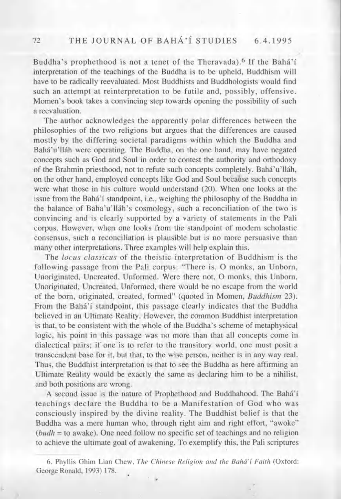## 72 THE JOURNAL OF BAHÁ'Í STUDIES 6.4.1995

Buddha's prophethood is not a tenet of the Theravada).<sup>6</sup> If the Bahá'í interpretation of the teachings of the Buddha is to be upheld, Buddhism will have to be radically reevaluated. Most Buddhists and Buddhologists would find such an attempt at reinterpretation to be futile and, possibly, offensive. Momen's book takes a convincing step towards opening the possibility of such a reevaluation.

The author acknowledges the apparently polar differences between the philosophies of the two religions but argues that the differences are caused mostly by the differing societal paradigms within which the Buddha and Bahá'u'lláh were operating. The Buddha, on the one hand, may have negated concepts such as God and Soul in order to contest the authority and orthodoxy of the Brahmin priesthood, not to refute such concepts completely. Bahá'u'lláh, on the other hand, employed concepts like God and Soul because such concepts were what those in his culture would understand (20). When one looks at the issue from the Bahá'í standpoint, i.e., weighing the philosophy of the Buddha in the balance of Baha'u'lláh's cosmology, such a reconciliation of the two is convincing and is clearly supported by a variety of statements in the Pali corpus. However, when one looks from the standpoint of modern scholastic consensus, such a reconciliation is plausible but is no more persuasive than many other interpretations. Three examples will help explain this.

The *locus classicus* of the theistic interpretation of Buddhism is the following passage from the Pali corpus: "There is, O monks, an Unborn, Unoriginated, Uncreated, Unformed. Were there not, O monks, this Unborn, Unoriginated, Uncreated, Unformed, there would be no escape from the world of the born, originated, created, formed" (quoted in Momen, *Buddhism* 23). From the Bahá'í standpoint, this passage clearly indicates that the Buddha believed in an Ultimate Reality. However, the common Buddhist interpretation is that, to be consistent with the whole of the Buddha's scheme of metaphysical logic, his point in this passage was no more than that all concepts come in dialectical pairs; if one is to refer to the transitory world, one must posit a transcendent base for it, but that, to the wise person, neither is in any way real. Thus, the Buddhist interpretation is that to see the Buddha as here affirming an Ultimate Reality would be exactly the same as declaring him to be a nihilist, and both positions are wrong.

A second issue is the nature of Prophethood and Buddhahood. The Bahá'í teachings declare the Buddha to be a Manifestation of God who was consciously inspired by the divine reality. The Buddhist belief is that the Buddha was a mere human who, through right aim and right effort, "awoke" *(budh* = to awake). One need follow no specific set of teachings and no religion to achieve the ultimate goal of awakening. To exemplify this, the Pali scriptures

**6. Phyllis Ghim Lian Chew,** *The Chinese Religion and the Bahďí Faith* **(Oxford: George Ronald, 1993) 178.**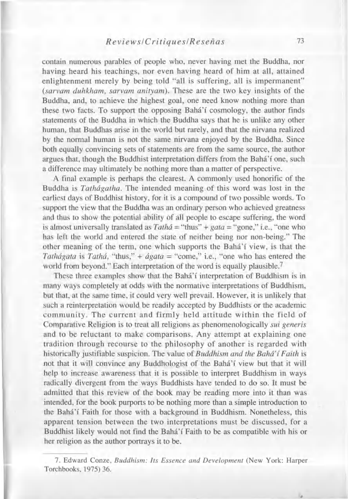### *Reviews! Critiques! Re seňas* **73**

contain numerous parables of people who, never having met the Buddha, nor having heard his teachings, nor even having heard of him at all, attained enlightenment merely by being told "all is suffering, all is impermanent" *(sarvam duhkham, sarvam anityam).* These are the two key insights of the Buddha, and, to achieve the highest goal, one need know nothing more than these two facts. To support the opposing Bahà'i cosmology, the author finds statements of the Buddha in which the Buddha says that he is unlike any other human, that Buddhas arise in the world but rarely, and that the nirvana realized by the normal human is not the same nirvana enjoyed by the Buddha. Since both equally convincing sets of statements are from the same source, the author argues that, though the Buddhist interpretation differs from the Bahá'í one, such a difference may ultimately be nothing more than a matter of perspective.

A final example is perhaps the clearest. A commonly used honorific of the Buddha is *Tathágatha.* The intended meaning of this word was lost in the earliest days of Buddhist history, for it is a compound of two possible words. To support the view that the Buddha was an ordinary person who achieved greatness and thus to show the potential ability of all people to escape suffering, the word is almost universally translated as *Tathá* = "thus" + *gata* = "gone," i.e., "one who has left the world and entered the state of neither being nor non-being." The other meaning of the term, one which supports the Bahá'í view, is that the *Tathágata* is *Tathá,* "thus," + *ágata* = "come," i.e., "one who has entered the world from beyond." Each interpretation of the word is equally plausible.<sup>7</sup>

These three examples show that the Bahá'í interpretation of Buddhism is in many ways completely at odds with the normative interpretations of Buddhism, but that, at the same time, it could very well prevail. However, it is unlikely that such a reinterpretation would be readily accepted by Buddhists or the academic community. The current and firmly held attitude within the field of Comparative Religion is to treat all religions as phenomenologically *sui generis* and to be reluctant to make comparisons. Any attempt at explaining one tradition through recourse to the philosophy of another is regarded with historically justifiable suspicion. The value of *Buddhism and the Bahďí Faith* is not that it will convince any Buddhologist of the Bahá'í view but that it will help to increase awareness that it is possible to interpret Buddhism in ways radically divergent from the ways Buddhists have tended to do so. It must be admitted that this review of the book may be reading more into it than was intended, for the book purports to be nothing more than a simple introduction to the Bahá'í Faith for those with a background in Buddhism. Nonetheless, this apparent tension between the two interpretations must be discussed, for a Buddhist likely would not find the Bahá'í Faith to be as compatible with his or her religion as the author portrays it to be.

**7. Edward Conze,** *Buddhism: Its Essence and Development* **(New York: Harper Torchbooks, 1975) 36.**